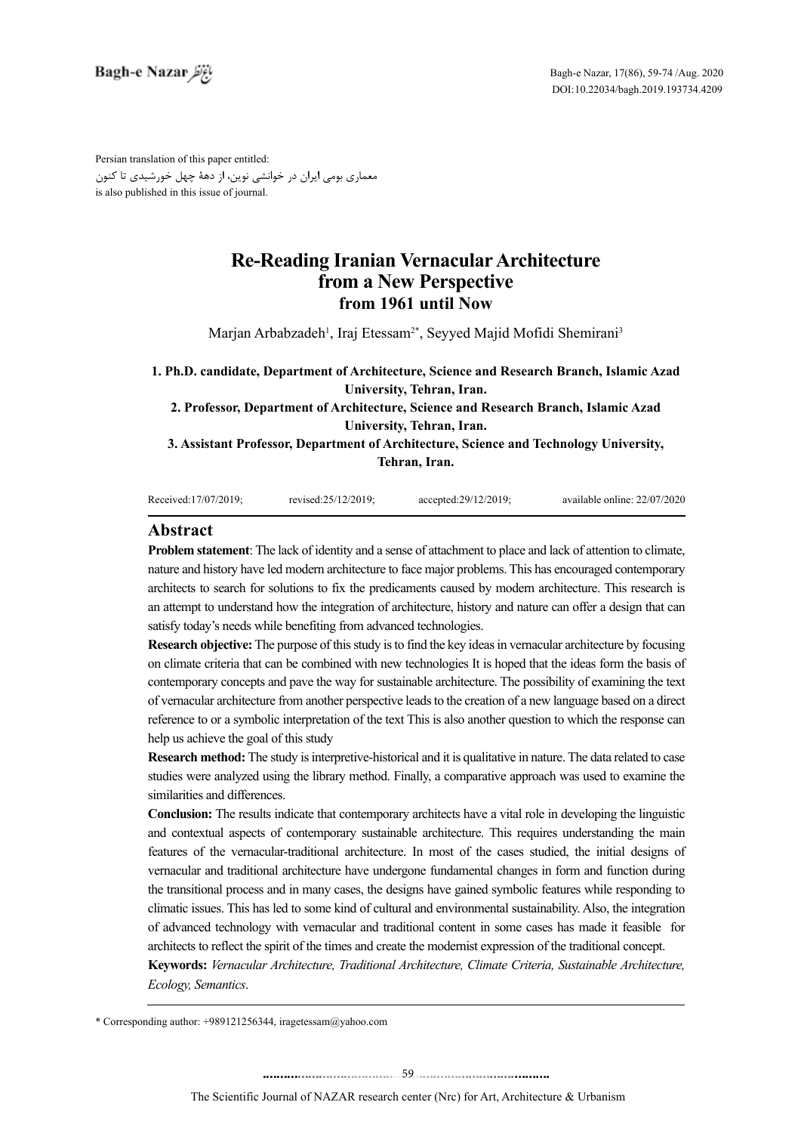Persian translation of this paper entitled: معماری بومی ایران در خوانشی نوین، از دهۀ چهل خورشیدی تا کنون is also published in this issue of journal.

# **Re-Reading Iranian Vernacular Architecture from a New Perspective from 1961 until Now**

Marjan Arbabzadeh<sup>1</sup>, Iraj Etessam<sup>2\*</sup>, Seyyed Majid Mofidi Shemirani<sup>3</sup>

**1. Ph.D. candidate, Department of Architecture, Science and Research Branch, Islamic Azad University, Tehran, Iran. 2. Professor, Department of Architecture, Science and Research Branch, Islamic Azad** 

**University, Tehran, Iran.**

**3. Assistant Professor, Department of Architecture, Science and Technology University, Tehran, Iran.**

| Received:17/07/2019: | revised:25/12/2019: | $accelted:29/12/2019$ : | available online: 22/07/2020 |
|----------------------|---------------------|-------------------------|------------------------------|
|                      |                     |                         |                              |

## **Abstract**

**Problem statement**: The lack of identity and a sense of attachment to place and lack of attention to climate, nature and history have led modern architecture to face major problems. This has encouraged contemporary architects to search for solutions to fix the predicaments caused by modern architecture. This research is an attempt to understand how the integration of architecture, history and nature can offer a design that can satisfy today's needs while benefiting from advanced technologies.

**Research objective:** The purpose of this study is to find the key ideas in vernacular architecture by focusing on climate criteria that can be combined with new technologies It is hoped that the ideas form the basis of contemporary concepts and pave the way for sustainable architecture. The possibility of examining the text of vernacular architecture from another perspective leads to the creation of a new language based on a direct reference to or a symbolic interpretation of the text This is also another question to which the response can help us achieve the goal of this study

**Research method:** The study is interpretive-historical and it is qualitative in nature. The data related to case studies were analyzed using the library method. Finally, a comparative approach was used to examine the similarities and differences.

**Conclusion:** The results indicate that contemporary architects have a vital role in developing the linguistic and contextual aspects of contemporary sustainable architecture. This requires understanding the main features of the vernacular-traditional architecture. In most of the cases studied, the initial designs of vernacular and traditional architecture have undergone fundamental changes in form and function during the transitional process and in many cases, the designs have gained symbolic features while responding to climatic issues. This has led to some kind of cultural and environmental sustainability. Also, the integration of advanced technology with vernacular and traditional content in some cases has made it feasible for architects to reflect the spirit of the times and create the modernist expression of the traditional concept.

**Keywords:** *Vernacular Architecture, Traditional Architecture, Climate Criteria, Sustainable Architecture, Ecology, Semantics*.

\* Corresponding author: +989121256344, iragetessam@yahoo.com

........................................59. . .. . ........... ........ ....... ..........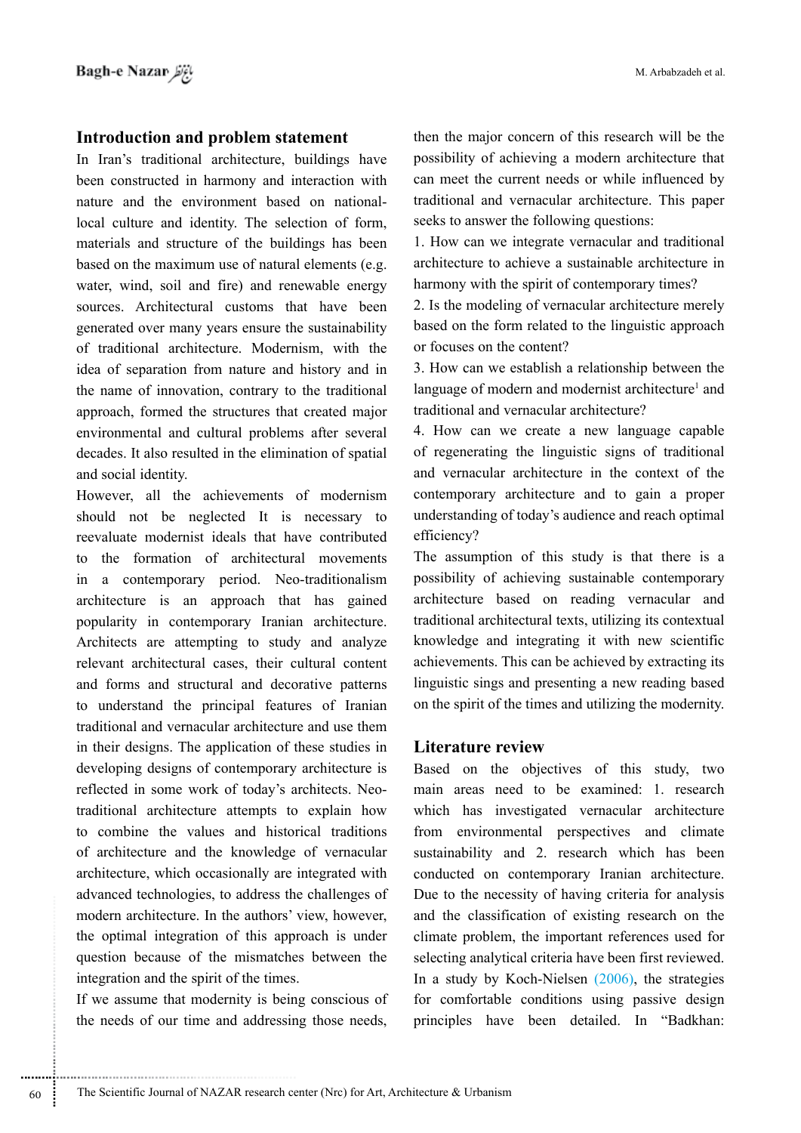### **Introduction and problem statement**

In Iran's traditional architecture, buildings have been constructed in harmony and interaction with nature and the environment based on nationallocal culture and identity. The selection of form, materials and structure of the buildings has been based on the maximum use of natural elements (e.g. water, wind, soil and fire) and renewable energy sources. Architectural customs that have been generated over many years ensure the sustainability of traditional architecture. Modernism, with the idea of separation from nature and history and in the name of innovation, contrary to the traditional approach, formed the structures that created major environmental and cultural problems after several decades. It also resulted in the elimination of spatial and social identity.

However, all the achievements of modernism should not be neglected It is necessary to reevaluate modernist ideals that have contributed to the formation of architectural movements in a contemporary period. Neo-traditionalism architecture is an approach that has gained popularity in contemporary Iranian architecture. Architects are attempting to study and analyze relevant architectural cases, their cultural content and forms and structural and decorative patterns to understand the principal features of Iranian traditional and vernacular architecture and use them in their designs. The application of these studies in developing designs of contemporary architecture is reflected in some work of today's architects. Neotraditional architecture attempts to explain how to combine the values and historical traditions of architecture and the knowledge of vernacular architecture, which occasionally are integrated with advanced technologies, to address the challenges of modern architecture. In the authors' view, however, the optimal integration of this approach is under question because of the mismatches between the integration and the spirit of the times.

If we assume that modernity is being conscious of the needs of our time and addressing those needs,

then the major concern of this research will be the possibility of achieving a modern architecture that can meet the current needs or while influenced by traditional and vernacular architecture. This paper seeks to answer the following questions:

1. How can we integrate vernacular and traditional architecture to achieve a sustainable architecture in harmony with the spirit of contemporary times?

2. Is the modeling of vernacular architecture merely based on the form related to the linguistic approach or focuses on the content?

3. How can we establish a relationship between the language of modern and modernist architecture<sup>1</sup> and traditional and vernacular architecture?

4. How can we create a new language capable of regenerating the linguistic signs of traditional and vernacular architecture in the context of the contemporary architecture and to gain a proper understanding of today's audience and reach optimal efficiency?

The assumption of this study is that there is a possibility of achieving sustainable contemporary architecture based on reading vernacular and traditional architectural texts, utilizing its contextual knowledge and integrating it with new scientific achievements. This can be achieved by extracting its linguistic sings and presenting a new reading based on the spirit of the times and utilizing the modernity.

### **Literature review**

Based on the objectives of this study, two main areas need to be examined: 1. research which has investigated vernacular architecture from environmental perspectives and climate sustainability and 2. research which has been conducted on contemporary Iranian architecture. Due to the necessity of having criteria for analysis and the classification of existing research on the climate problem, the important references used for selecting analytical criteria have been first reviewed. In a study by Koch-Nielsen (2006), the strategies for comfortable conditions using passive design principles have been detailed. In "Badkhan: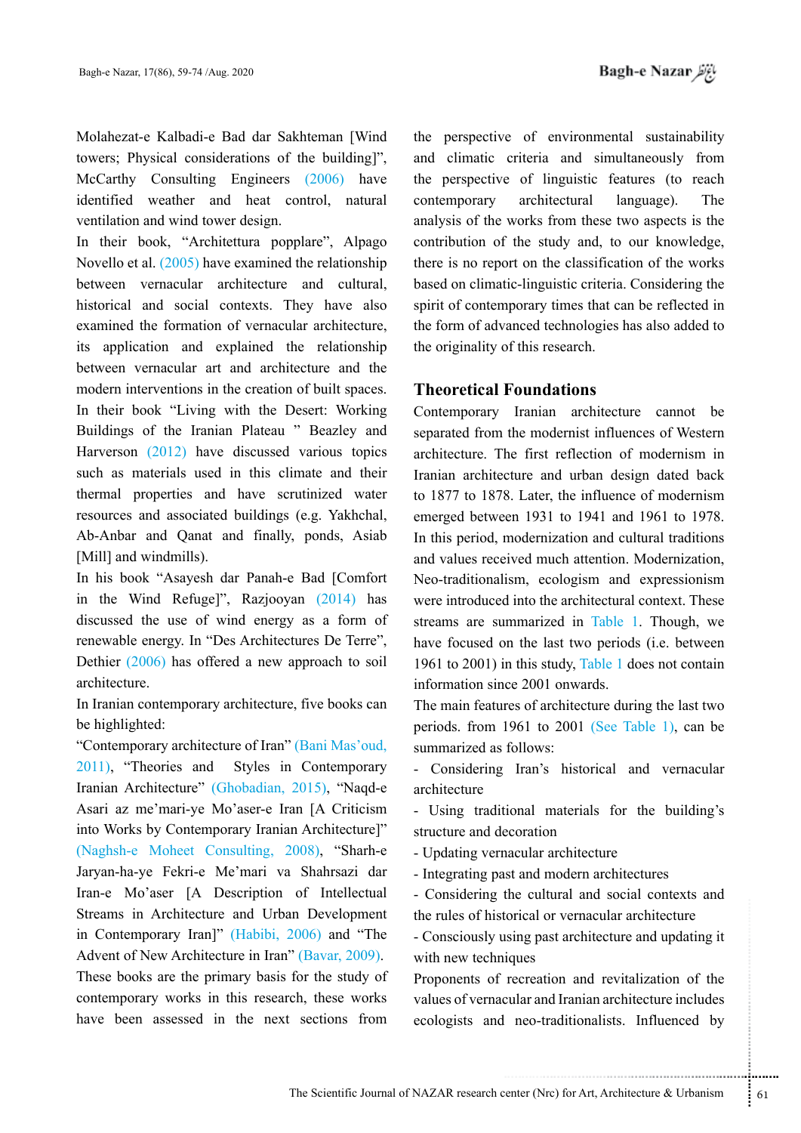*باغ نظر* Bagh-e Nazar

Molahezat-e Kalbadi-e Bad dar Sakhteman [Wind towers; Physical considerations of the building]", McCarthy Consulting Engineers (2006) have identified weather and heat control, natural ventilation and wind tower design.

In their book, "Architettura popplare", Alpago Novello et al. (2005) have examined the relationship between vernacular architecture and cultural, historical and social contexts. They have also examined the formation of vernacular architecture, its application and explained the relationship between vernacular art and architecture and the modern interventions in the creation of built spaces. In their book "Living with the Desert: Working Buildings of the Iranian Plateau " Beazley and Harverson (2012) have discussed various topics such as materials used in this climate and their thermal properties and have scrutinized water resources and associated buildings (e.g. Yakhchal, Ab-Anbar and Qanat and finally, ponds, Asiab [Mill] and windmills).

In his book "Asayesh dar Panah-e Bad [Comfort in the Wind Refuge]", Razjooyan (2014) has discussed the use of wind energy as a form of renewable energy. In "Des Architectures De Terre", Dethier (2006) has offered a new approach to soil architecture.

In Iranian contemporary architecture, five books can be highlighted:

"Contemporary architecture of Iran" (Bani Mas'oud, 2011), "Theories and Styles in Contemporary Iranian Architecture" (Ghobadian, 2015), "Naqd-e Asari az me'mari-ye Mo'aser-e Iran [A Criticism into Works by Contemporary Iranian Architecture]" (Naghsh-e Moheet Consulting, 2008), "Sharh-e Jaryan-ha-ye Fekri-e Me'mari va Shahrsazi dar Iran-e Mo'aser [A Description of Intellectual Streams in Architecture and Urban Development in Contemporary Iran]" (Habibi, 2006) and "The Advent of New Architecture in Iran" (Bavar, 2009).

These books are the primary basis for the study of contemporary works in this research, these works have been assessed in the next sections from the perspective of environmental sustainability and climatic criteria and simultaneously from the perspective of linguistic features (to reach contemporary architectural language). The analysis of the works from these two aspects is the contribution of the study and, to our knowledge, there is no report on the classification of the works based on climatic-linguistic criteria. Considering the spirit of contemporary times that can be reflected in the form of advanced technologies has also added to the originality of this research.

# **Theoretical Foundations**

Contemporary Iranian architecture cannot be separated from the modernist influences of Western architecture. The first reflection of modernism in Iranian architecture and urban design dated back to 1877 to 1878. Later, the influence of modernism emerged between 1931 to 1941 and 1961 to 1978. In this period, modernization and cultural traditions and values received much attention. Modernization, Neo-traditionalism, ecologism and expressionism were introduced into the architectural context. These streams are summarized in Table 1. Though, we have focused on the last two periods (i.e. between 1961 to 2001) in this study, Table 1 does not contain information since 2001 onwards.

The main features of architecture during the last two periods. from 1961 to 2001 (See Table 1), can be summarized as follows:

- Considering Iran's historical and vernacular architecture

- Using traditional materials for the building's structure and decoration

- Updating vernacular architecture

- Integrating past and modern architectures

- Considering the cultural and social contexts and the rules of historical or vernacular architecture

- Consciously using past architecture and updating it with new techniques

torical or vernacular architecture<br>
sing past architecture and updating it<br>
iques<br>
recreation and revitalization of the<br>
cular and Iranian architecture includes<br>
neo-traditionalists. Influenced by<br>
enter (Nrc) for Art, Arc Proponents of recreation and revitalization of the values of vernacular and Iranian architecture includes ecologists and neo-traditionalists. Influenced by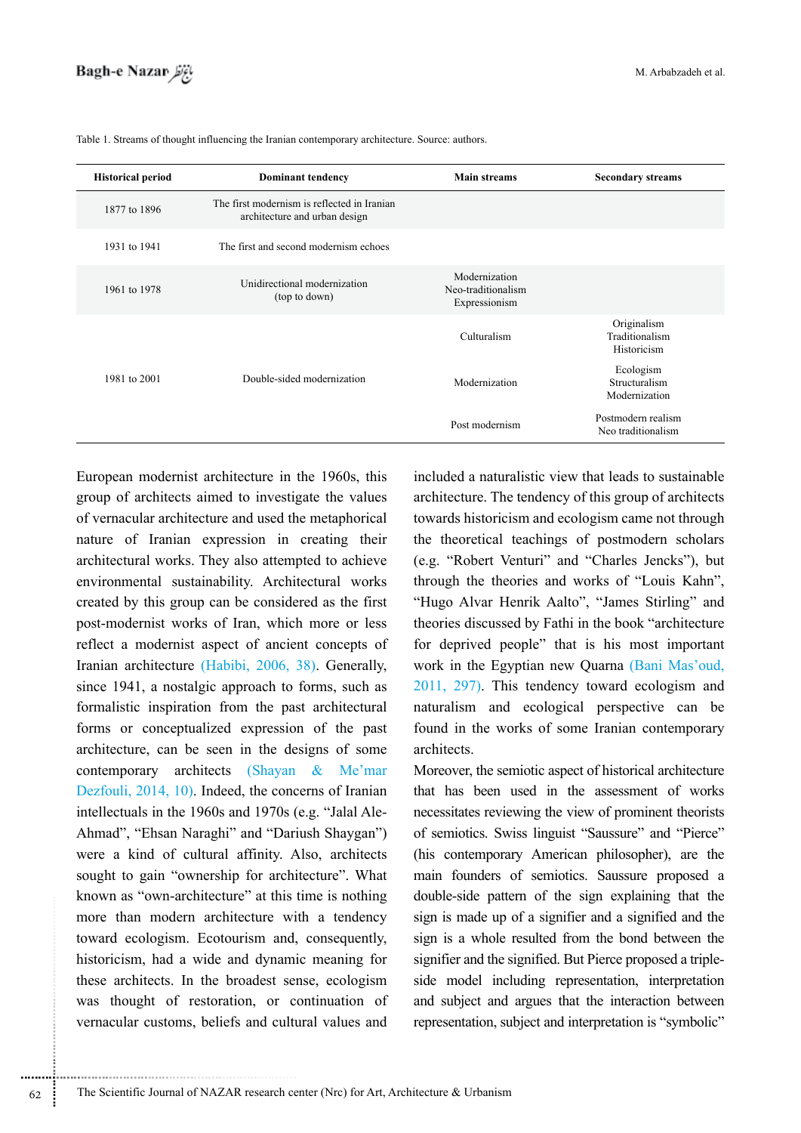| <b>Historical period</b> | <b>Dominant tendency</b>                                                     | <b>Main streams</b>                                  | <b>Secondary streams</b>                     |
|--------------------------|------------------------------------------------------------------------------|------------------------------------------------------|----------------------------------------------|
| 1877 to 1896             | The first modernism is reflected in Iranian<br>architecture and urban design |                                                      |                                              |
| 1931 to 1941             | The first and second modernism echoes                                        |                                                      |                                              |
| 1961 to 1978             | Unidirectional modernization<br>(top to down)                                | Modernization<br>Neo-traditionalism<br>Expressionism |                                              |
|                          |                                                                              | Culturalism                                          | Originalism<br>Traditionalism<br>Historicism |
| 1981 to 2001             | Double-sided modernization                                                   | Modernization                                        | Ecologism<br>Structuralism<br>Modernization  |
|                          |                                                                              | Post modernism                                       | Postmodern realism<br>Neo traditionalism     |

Table 1. Streams of thought influencing the Iranian contemporary architecture. Source: authors.

European modernist architecture in the 1960s, this group of architects aimed to investigate the values of vernacular architecture and used the metaphorical nature of Iranian expression in creating their architectural works. They also attempted to achieve environmental sustainability. Architectural works created by this group can be considered as the first post-modernist works of Iran, which more or less reflect a modernist aspect of ancient concepts of Iranian architecture (Habibi, 2006, 38). Generally, since 1941, a nostalgic approach to forms, such as formalistic inspiration from the past architectural forms or conceptualized expression of the past architecture, can be seen in the designs of some contemporary architects (Shayan & Me'mar Dezfouli, 2014, 10). Indeed, the concerns of Iranian intellectuals in the 1960s and 1970s (e.g. "Jalal Ale-Ahmad", "Ehsan Naraghi" and "Dariush Shaygan") were a kind of cultural affinity. Also, architects sought to gain "ownership for architecture". What known as "own-architecture" at this time is nothing more than modern architecture with a tendency toward ecologism. Ecotourism and, consequently, historicism, had a wide and dynamic meaning for these architects. In the broadest sense, ecologism was thought of restoration, or continuation of vernacular customs, beliefs and cultural values and

............................................................

included a naturalistic view that leads to sustainable architecture. The tendency of this group of architects towards historicism and ecologism came not through the theoretical teachings of postmodern scholars (e.g. "Robert Venturi" and "Charles Jencks"), but through the theories and works of "Louis Kahn", "Hugo Alvar Henrik Aalto", "James Stirling" and theories discussed by Fathi in the book "architecture for deprived people" that is his most important work in the Egyptian new Quarna (Bani Mas'oud, 2011, 297). This tendency toward ecologism and naturalism and ecological perspective can be found in the works of some Iranian contemporary architects.

Moreover, the semiotic aspect of historical architecture that has been used in the assessment of works necessitates reviewing the view of prominent theorists of semiotics. Swiss linguist "Saussure" and "Pierce" (his contemporary American philosopher), are the main founders of semiotics. Saussure proposed a double-side pattern of the sign explaining that the sign is made up of a signifier and a signified and the sign is a whole resulted from the bond between the signifier and the signified. But Pierce proposed a tripleside model including representation, interpretation and subject and argues that the interaction between representation, subject and interpretation is "symbolic"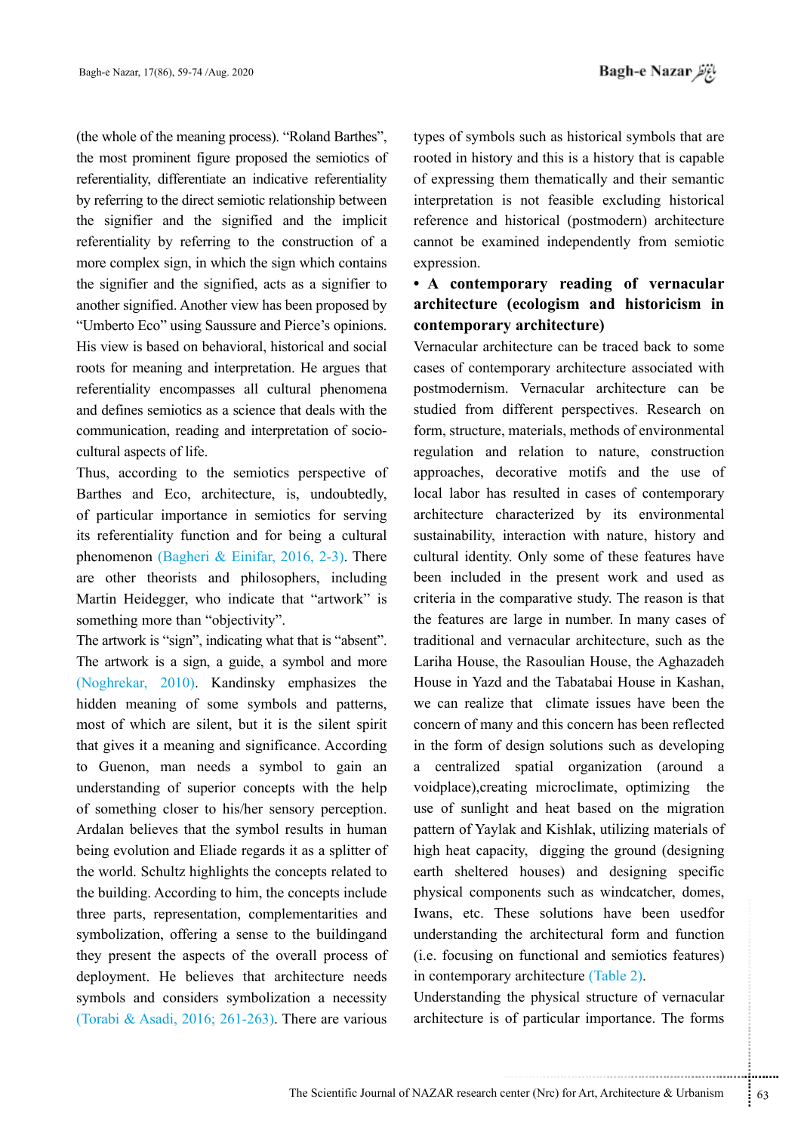(the whole of the meaning process). "Roland Barthes", the most prominent figure proposed the semiotics of referentiality, differentiate an indicative referentiality by referring to the direct semiotic relationship between the signifier and the signified and the implicit referentiality by referring to the construction of a more complex sign, in which the sign which contains the signifier and the signified, acts as a signifier to another signified. Another view has been proposed by "Umberto Eco" using Saussure and Pierce's opinions. His view is based on behavioral, historical and social roots for meaning and interpretation. He argues that referentiality encompasses all cultural phenomena and defines semiotics as a science that deals with the communication, reading and interpretation of sociocultural aspects of life.

Thus, according to the semiotics perspective of Barthes and Eco, architecture, is, undoubtedly, of particular importance in semiotics for serving its referentiality function and for being a cultural phenomenon (Bagheri & Einifar, 2016, 2-3). There are other theorists and philosophers, including Martin Heidegger, who indicate that "artwork" is something more than "objectivity".

The artwork is "sign", indicating what that is "absent". The artwork is a sign, a guide, a symbol and more (Noghrekar, 2010). Kandinsky emphasizes the hidden meaning of some symbols and patterns, most of which are silent, but it is the silent spirit that gives it a meaning and significance. According to Guenon, man needs a symbol to gain an understanding of superior concepts with the help of something closer to his/her sensory perception. Ardalan believes that the symbol results in human being evolution and Eliade regards it as a splitter of the world. Schultz highlights the concepts related to the building. According to him, the concepts include three parts, representation, complementarities and symbolization, offering a sense to the buildingand they present the aspects of the overall process of deployment. He believes that architecture needs symbols and considers symbolization a necessity (Torabi & Asadi, 2016; 261-263). There are various

types of symbols such as historical symbols that are rooted in history and this is a history that is capable of expressing them thematically and their semantic interpretation is not feasible excluding historical reference and historical (postmodern) architecture cannot be examined independently from semiotic expression.

# **• A contemporary reading of vernacular architecture (ecologism and historicism in contemporary architecture)**

hese solutions have been usedfor<br>the architectural form and function<br>on functional and semiotics features)<br>y architecture (Table 2).<br>the physical structure of vernacular<br>of particular importance. The forms<br>enter (Nrc) for Vernacular architecture can be traced back to some cases of contemporary architecture associated with postmodernism. Vernacular architecture can be studied from different perspectives. Research on form, structure, materials, methods of environmental regulation and relation to nature, construction approaches, decorative motifs and the use of local labor has resulted in cases of contemporary architecture characterized by its environmental sustainability, interaction with nature, history and cultural identity. Only some of these features have been included in the present work and used as criteria in the comparative study. The reason is that the features are large in number. In many cases of traditional and vernacular architecture, such as the Lariha House, the Rasoulian House, the Aghazadeh House in Yazd and the Tabatabai House in Kashan, we can realize that climate issues have been the concern of many and this concern has been reflected in the form of design solutions such as developing a centralized spatial organization (around a voidplace),creating microclimate, optimizing the use of sunlight and heat based on the migration pattern of Yaylak and Kishlak, utilizing materials of high heat capacity, digging the ground (designing earth sheltered houses) and designing specific physical components such as windcatcher, domes, Iwans, etc. These solutions have been usedfor understanding the architectural form and function (i.e. focusing on functional and semiotics features) in contemporary architecture (Table 2).

Understanding the physical structure of vernacular architecture is of particular importance. The forms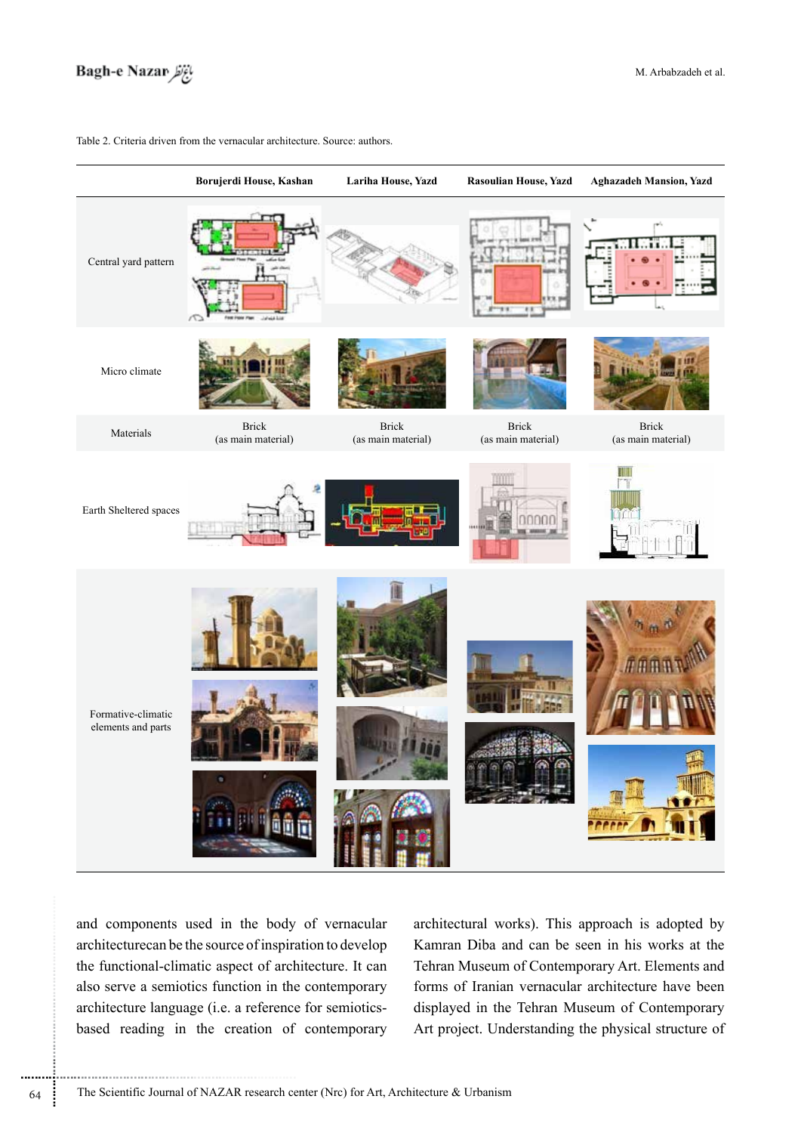

|                                          | Borujerdi House, Kashan     | Lariha House, Yazd          | <b>Rasoulian House, Yazd</b> | <b>Aghazadeh Mansion, Yazd</b>     |
|------------------------------------------|-----------------------------|-----------------------------|------------------------------|------------------------------------|
| Central yard pattern                     |                             |                             |                              |                                    |
| Micro climate                            |                             |                             |                              |                                    |
| Materials                                | Brick<br>(as main material) | Brick<br>(as main material) | Brick<br>(as main material)  | <b>Brick</b><br>(as main material) |
| Earth Sheltered spaces                   | φ                           |                             |                              |                                    |
| Formative-climatic<br>elements and parts |                             |                             |                              |                                    |

Table 2. Criteria driven from the vernacular architecture. Source: authors.

and components used in the body of vernacular architecturecan be the source of inspiration to develop the functional-climatic aspect of architecture. It can also serve a semiotics function in the contemporary architecture language (i.e. a reference for semioticsbased reading in the creation of contemporary architectural works). This approach is adopted by Kamran Diba and can be seen in his works at the Tehran Museum of Contemporary Art. Elements and forms of Iranian vernacular architecture have been displayed in the Tehran Museum of Contemporary Art project. Understanding the physical structure of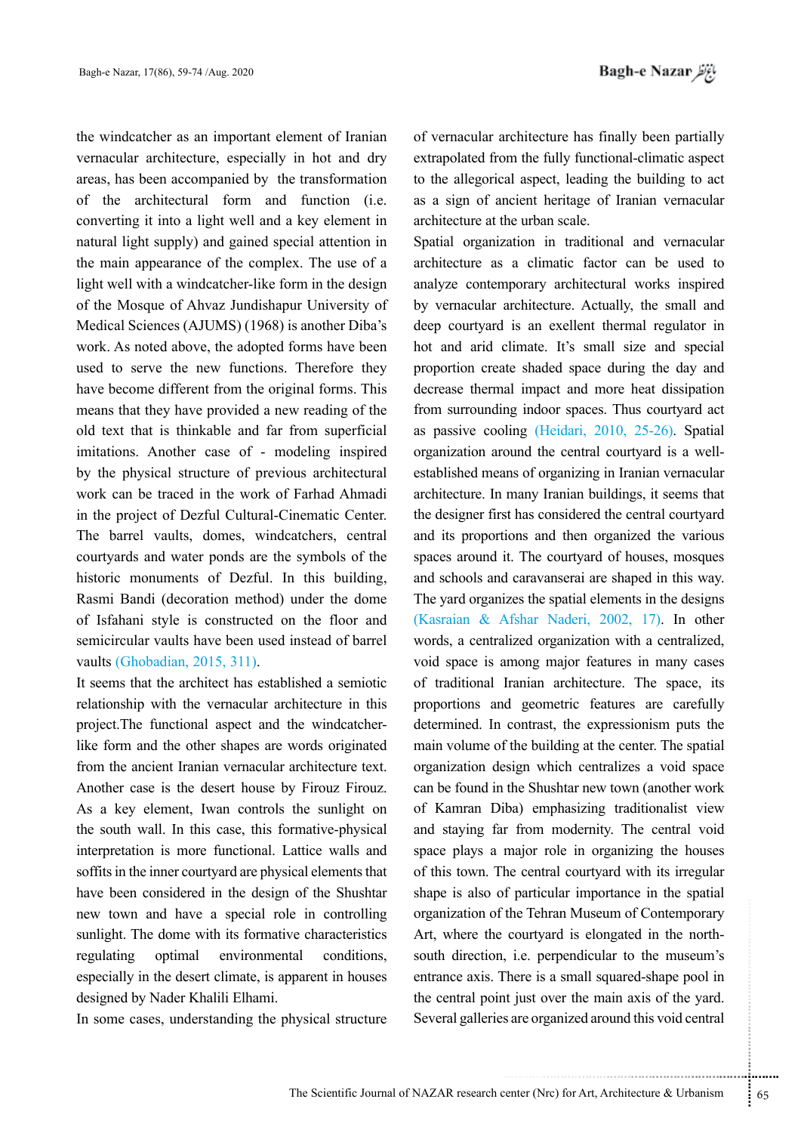*باغ نظر* Bagh-e Nazar

the windcatcher as an important element of Iranian vernacular architecture, especially in hot and dry areas, has been accompanied by the transformation of the architectural form and function (i.e. converting it into a light well and a key element in natural light supply) and gained special attention in the main appearance of the complex. The use of a light well with a windcatcher-like form in the design of the Mosque of Ahvaz Jundishapur University of Medical Sciences (AJUMS) (1968) is another Diba's work. As noted above, the adopted forms have been used to serve the new functions. Therefore they have become different from the original forms. This means that they have provided a new reading of the old text that is thinkable and far from superficial imitations. Another case of - modeling inspired by the physical structure of previous architectural work can be traced in the work of Farhad Ahmadi in the project of Dezful Cultural-Cinematic Center. The barrel vaults, domes, windcatchers, central courtyards and water ponds are the symbols of the historic monuments of Dezful. In this building, Rasmi Bandi (decoration method) under the dome of Isfahani style is constructed on the floor and semicircular vaults have been used instead of barrel vaults (Ghobadian, 2015, 311).

It seems that the architect has established a semiotic relationship with the vernacular architecture in this project.The functional aspect and the windcatcherlike form and the other shapes are words originated from the ancient Iranian vernacular architecture text. Another case is the desert house by Firouz Firouz. As a key element, Iwan controls the sunlight on the south wall. In this case, this formative-physical interpretation is more functional. Lattice walls and soffits in the inner courtyard are physical elements that have been considered in the design of the Shushtar new town and have a special role in controlling sunlight. The dome with its formative characteristics regulating optimal environmental conditions, especially in the desert climate, is apparent in houses designed by Nader Khalili Elhami.

In some cases, understanding the physical structure

of vernacular architecture has finally been partially extrapolated from the fully functional-climatic aspect to the allegorical aspect, leading the building to act as a sign of ancient heritage of Iranian vernacular architecture at the urban scale.

the Tehran Museum of Contemporary<br>
courtyard is elongated in the north-<br>
i.e. perpendicular to the museum's<br>
There is a small squared-shape pool in<br>
it just over the main axis of the yard.<br>
s are organized around this void Spatial organization in traditional and vernacular architecture as a climatic factor can be used to analyze contemporary architectural works inspired by vernacular architecture. Actually, the small and deep courtyard is an exellent thermal regulator in hot and arid climate. It's small size and special proportion create shaded space during the day and decrease thermal impact and more heat dissipation from surrounding indoor spaces. Thus courtyard act as passive cooling (Heidari, 2010, 25-26). Spatial organization around the central courtyard is a wellestablished means of organizing in Iranian vernacular architecture. In many Iranian buildings, it seems that the designer first has considered the central courtyard and its proportions and then organized the various spaces around it. The courtyard of houses, mosques and schools and caravanserai are shaped in this way. The yard organizes the spatial elements in the designs (Kasraian & Afshar Naderi, 2002, 17). In other words, a centralized organization with a centralized, void space is among major features in many cases of traditional Iranian architecture. The space, its proportions and geometric features are carefully determined. In contrast, the expressionism puts the main volume of the building at the center. The spatial organization design which centralizes a void space can be found in the Shushtar new town (another work of Kamran Diba) emphasizing traditionalist view and staying far from modernity. The central void space plays a major role in organizing the houses of this town. The central courtyard with its irregular shape is also of particular importance in the spatial organization of the Tehran Museum of Contemporary Art, where the courtyard is elongated in the northsouth direction, i.e. perpendicular to the museum's entrance axis. There is a small squared-shape pool in the central point just over the main axis of the yard. Several galleries are organized around this void central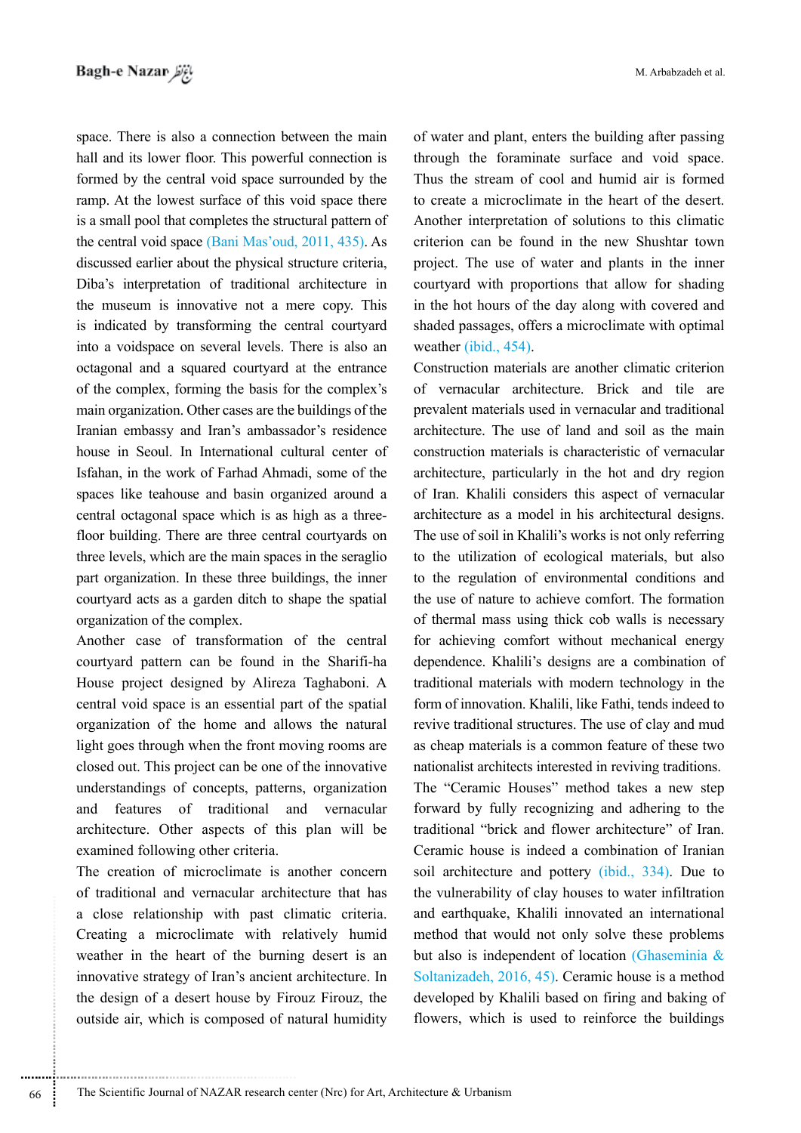space. There is also a connection between the main hall and its lower floor. This powerful connection is formed by the central void space surrounded by the ramp. At the lowest surface of this void space there is a small pool that completes the structural pattern of the central void space (Bani Mas'oud, 2011, 435). As discussed earlier about the physical structure criteria, Diba's interpretation of traditional architecture in the museum is innovative not a mere copy. This is indicated by transforming the central courtyard into a voidspace on several levels. There is also an octagonal and a squared courtyard at the entrance of the complex, forming the basis for the complex's main organization. Other cases are the buildings of the Iranian embassy and Iran's ambassador's residence house in Seoul. In International cultural center of Isfahan, in the work of Farhad Ahmadi, some of the spaces like teahouse and basin organized around a central octagonal space which is as high as a threefloor building. There are three central courtyards on three levels, which are the main spaces in the seraglio part organization. In these three buildings, the inner courtyard acts as a garden ditch to shape the spatial organization of the complex.

Another case of transformation of the central courtyard pattern can be found in the Sharifi-ha House project designed by Alireza Taghaboni. A central void space is an essential part of the spatial organization of the home and allows the natural light goes through when the front moving rooms are closed out. This project can be one of the innovative understandings of concepts, patterns, organization and features of traditional and vernacular architecture. Other aspects of this plan will be examined following other criteria.

The creation of microclimate is another concern of traditional and vernacular architecture that has a close relationship with past climatic criteria. Creating a microclimate with relatively humid weather in the heart of the burning desert is an innovative strategy of Iran's ancient architecture. In the design of a desert house by Firouz Firouz, the outside air, which is composed of natural humidity of water and plant, enters the building after passing through the foraminate surface and void space. Thus the stream of cool and humid air is formed to create a microclimate in the heart of the desert. Another interpretation of solutions to this climatic criterion can be found in the new Shushtar town project. The use of water and plants in the inner courtyard with proportions that allow for shading in the hot hours of the day along with covered and shaded passages, offers a microclimate with optimal weather (ibid., 454).

Construction materials are another climatic criterion of vernacular architecture. Brick and tile are prevalent materials used in vernacular and traditional architecture. The use of land and soil as the main construction materials is characteristic of vernacular architecture, particularly in the hot and dry region of Iran. Khalili considers this aspect of vernacular architecture as a model in his architectural designs. The use of soil in Khalili's works is not only referring to the utilization of ecological materials, but also to the regulation of environmental conditions and the use of nature to achieve comfort. The formation of thermal mass using thick cob walls is necessary for achieving comfort without mechanical energy dependence. Khalili's designs are a combination of traditional materials with modern technology in the form of innovation. Khalili, like Fathi, tends indeed to revive traditional structures. The use of clay and mud as cheap materials is a common feature of these two nationalist architects interested in reviving traditions.

The "Ceramic Houses" method takes a new step forward by fully recognizing and adhering to the traditional "brick and flower architecture" of Iran. Ceramic house is indeed a combination of Iranian soil architecture and pottery (ibid., 334). Due to the vulnerability of clay houses to water infiltration and earthquake, Khalili innovated an international method that would not only solve these problems but also is independent of location (Ghaseminia & Soltanizadeh, 2016, 45). Ceramic house is a method developed by Khalili based on firing and baking of flowers, which is used to reinforce the buildings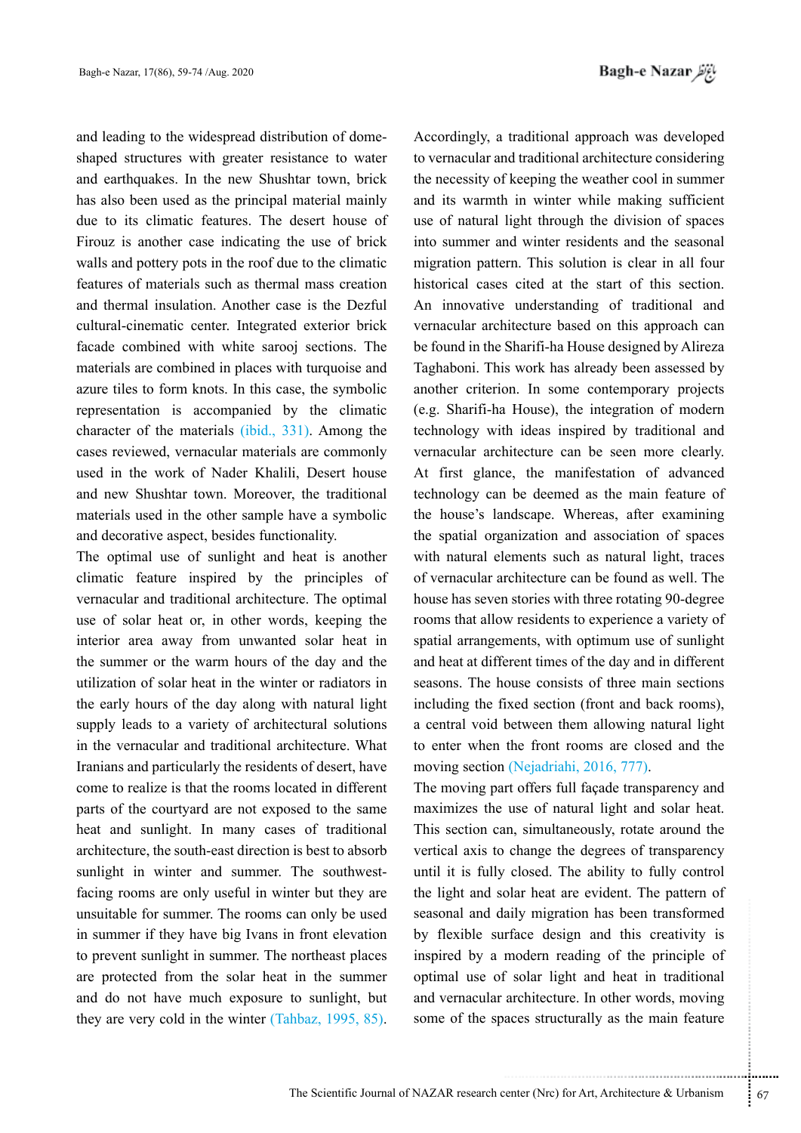and leading to the widespread distribution of domeshaped structures with greater resistance to water and earthquakes. In the new Shushtar town, brick has also been used as the principal material mainly due to its climatic features. The desert house of Firouz is another case indicating the use of brick walls and pottery pots in the roof due to the climatic features of materials such as thermal mass creation and thermal insulation. Another case is the Dezful cultural-cinematic center. Integrated exterior brick facade combined with white sarooj sections. The materials are combined in places with turquoise and azure tiles to form knots. In this case, the symbolic representation is accompanied by the climatic character of the materials (ibid., 331). Among the cases reviewed, vernacular materials are commonly used in the work of Nader Khalili, Desert house and new Shushtar town. Moreover, the traditional materials used in the other sample have a symbolic and decorative aspect, besides functionality.

The optimal use of sunlight and heat is another climatic feature inspired by the principles of vernacular and traditional architecture. The optimal use of solar heat or, in other words, keeping the interior area away from unwanted solar heat in the summer or the warm hours of the day and the utilization of solar heat in the winter or radiators in the early hours of the day along with natural light supply leads to a variety of architectural solutions in the vernacular and traditional architecture. What Iranians and particularly the residents of desert, have come to realize is that the rooms located in different parts of the courtyard are not exposed to the same heat and sunlight. In many cases of traditional architecture, the south-east direction is best to absorb sunlight in winter and summer. The southwestfacing rooms are only useful in winter but they are unsuitable for summer. The rooms can only be used in summer if they have big Ivans in front elevation to prevent sunlight in summer. The northeast places are protected from the solar heat in the summer and do not have much exposure to sunlight, but they are very cold in the winter (Tahbaz, 1995, 85).

Accordingly, a traditional approach was developed to vernacular and traditional architecture considering the necessity of keeping the weather cool in summer and its warmth in winter while making sufficient use of natural light through the division of spaces into summer and winter residents and the seasonal migration pattern. This solution is clear in all four historical cases cited at the start of this section. An innovative understanding of traditional and vernacular architecture based on this approach can be found in the Sharifi-ha House designed by Alireza Taghaboni. This work has already been assessed by another criterion. In some contemporary projects (e.g. Sharifi-ha House), the integration of modern technology with ideas inspired by traditional and vernacular architecture can be seen more clearly. At first glance, the manifestation of advanced technology can be deemed as the main feature of the house's landscape. Whereas, after examining the spatial organization and association of spaces with natural elements such as natural light, traces of vernacular architecture can be found as well. The house has seven stories with three rotating 90-degree rooms that allow residents to experience a variety of spatial arrangements, with optimum use of sunlight and heat at different times of the day and in different seasons. The house consists of three main sections including the fixed section (front and back rooms), a central void between them allowing natural light to enter when the front rooms are closed and the moving section (Nejadriahi, 2016, 777).

aily migration has been transformed<br>
rface design and this creativity is<br>
modern reading of the principle of<br>
f solar light and heat in traditional<br>
architecture. In other words, moving<br>
aces structurally as the main featu The moving part offers full façade transparency and maximizes the use of natural light and solar heat. This section can, simultaneously, rotate around the vertical axis to change the degrees of transparency until it is fully closed. The ability to fully control the light and solar heat are evident. The pattern of seasonal and daily migration has been transformed by flexible surface design and this creativity is inspired by a modern reading of the principle of optimal use of solar light and heat in traditional and vernacular architecture. In other words, moving some of the spaces structurally as the main feature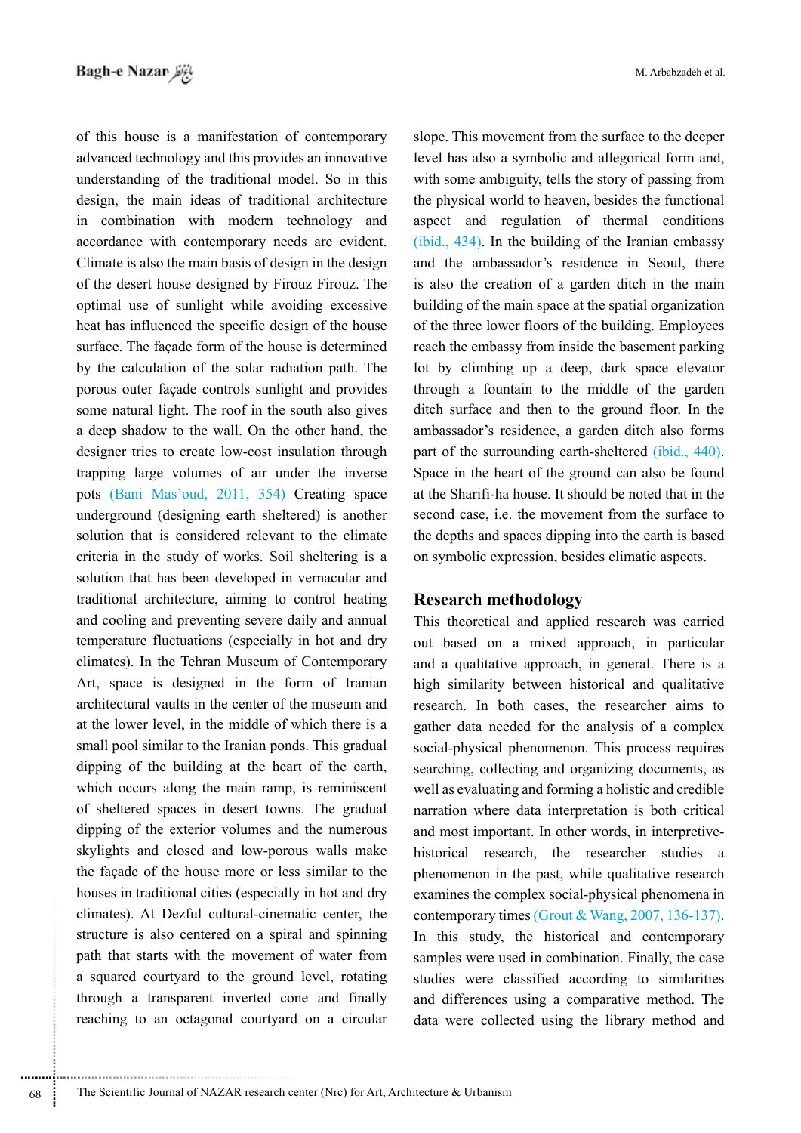of this house is a manifestation of contemporary advanced technology and this provides an innovative understanding of the traditional model. So in this design, the main ideas of traditional architecture in combination with modern technology and accordance with contemporary needs are evident. Climate is also the main basis of design in the design of the desert house designed by Firouz Firouz. The optimal use of sunlight while avoiding excessive heat has influenced the specific design of the house surface. The façade form of the house is determined by the calculation of the solar radiation path. The porous outer façade controls sunlight and provides some natural light. The roof in the south also gives a deep shadow to the wall. On the other hand, the designer tries to create low-cost insulation through trapping large volumes of air under the inverse pots (Bani Mas'oud, 2011, 354) Creating space underground (designing earth sheltered) is another solution that is considered relevant to the climate criteria in the study of works. Soil sheltering is a solution that has been developed in vernacular and traditional architecture, aiming to control heating and cooling and preventing severe daily and annual temperature fluctuations (especially in hot and dry climates). In the Tehran Museum of Contemporary Art, space is designed in the form of Iranian architectural vaults in the center of the museum and at the lower level, in the middle of which there is a small pool similar to the Iranian ponds. This gradual dipping of the building at the heart of the earth, which occurs along the main ramp, is reminiscent of sheltered spaces in desert towns. The gradual dipping of the exterior volumes and the numerous skylights and closed and low-porous walls make the façade of the house more or less similar to the houses in traditional cities (especially in hot and dry climates). At Dezful cultural-cinematic center, the structure is also centered on a spiral and spinning path that starts with the movement of water from a squared courtyard to the ground level, rotating through a transparent inverted cone and finally reaching to an octagonal courtyard on a circular M. Arbabzadeh et al.

slope. This movement from the surface to the deeper level has also a symbolic and allegorical form and, with some ambiguity, tells the story of passing from the physical world to heaven, besides the functional aspect and regulation of thermal conditions (ibid., 434). In the building of the Iranian embassy and the ambassador's residence in Seoul, there is also the creation of a garden ditch in the main building of the main space at the spatial organization of the three lower floors of the building. Employees reach the embassy from inside the basement parking lot by climbing up a deep, dark space elevator through a fountain to the middle of the garden ditch surface and then to the ground floor. In the ambassador's residence, a garden ditch also forms part of the surrounding earth-sheltered *(ibid., 440).* Space in the heart of the ground can also be found at the Sharifi-ha house. It should be noted that in the second case, i.e. the movement from the surface to the depths and spaces dipping into the earth is based on symbolic expression, besides climatic aspects.

## **Research methodology**

This theoretical and applied research was carried out based on a mixed approach, in particular and a qualitative approach, in general. There is a high similarity between historical and qualitative research. In both cases, the researcher aims to gather data needed for the analysis of a complex social-physical phenomenon. This process requires searching, collecting and organizing documents, as well as evaluating and forming a holistic and credible narration where data interpretation is both critical and most important. In other words, in interpretivehistorical research, the researcher studies a phenomenon in the past, while qualitative research examines the complex social-physical phenomena in contemporary times (Grout & Wang, 2007, 136-137). In this study, the historical and contemporary samples were used in combination. Finally, the case studies were classified according to similarities and differences using a comparative method. The data were collected using the library method and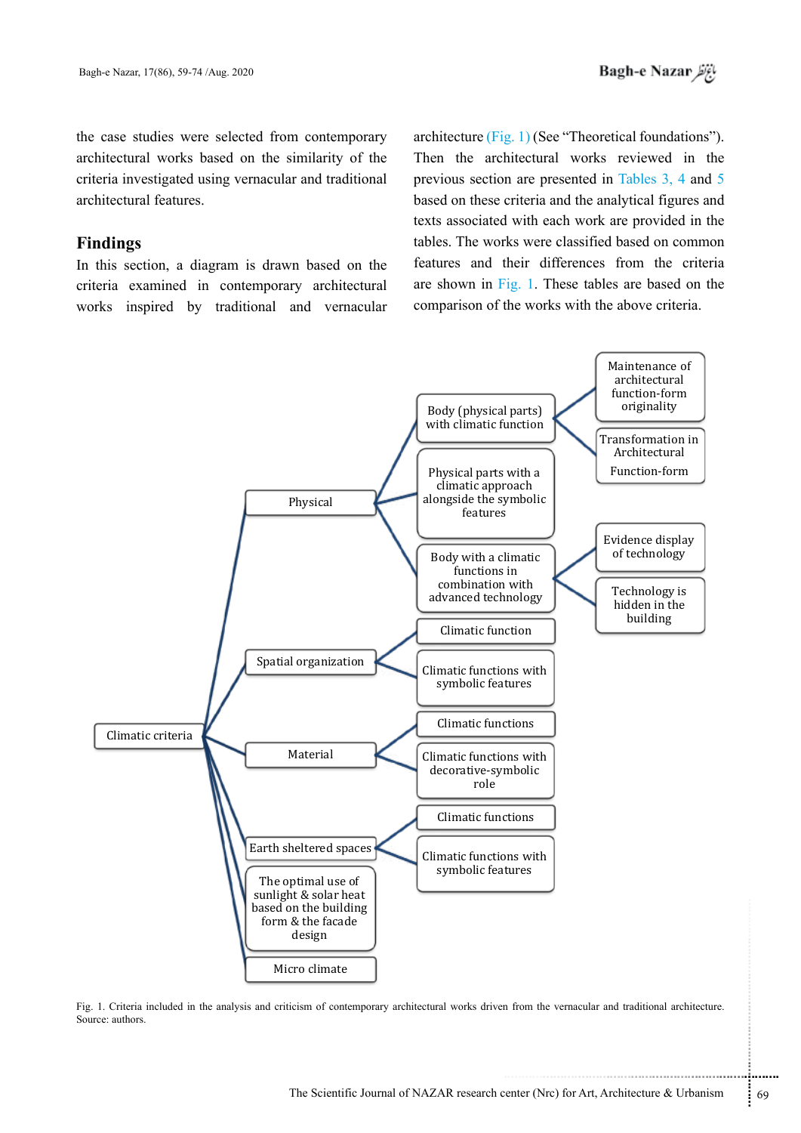the case studies were selected from contemporary architectural works based on the similarity of the criteria investigated using vernacular and traditional architectural features.

# **Findings**

In this section, a diagram is drawn based on the criteria examined in contemporary architectural works inspired by traditional and vernacular

architecture (Fig. 1) (See "Theoretical foundations"). Then the architectural works reviewed in the previous section are presented in Tables 3, 4 and 5 based on these criteria and the analytical figures and texts associated with each work are provided in the tables. The works were classified based on common features and their differences from the criteria are shown in Fig. 1. These tables are based on the comparison of the works with the above criteria.



Fig. 1. Criteria included in the analysis and criticism of contemporary architectural works driven from the vernacular and traditional architecture. Source: authors.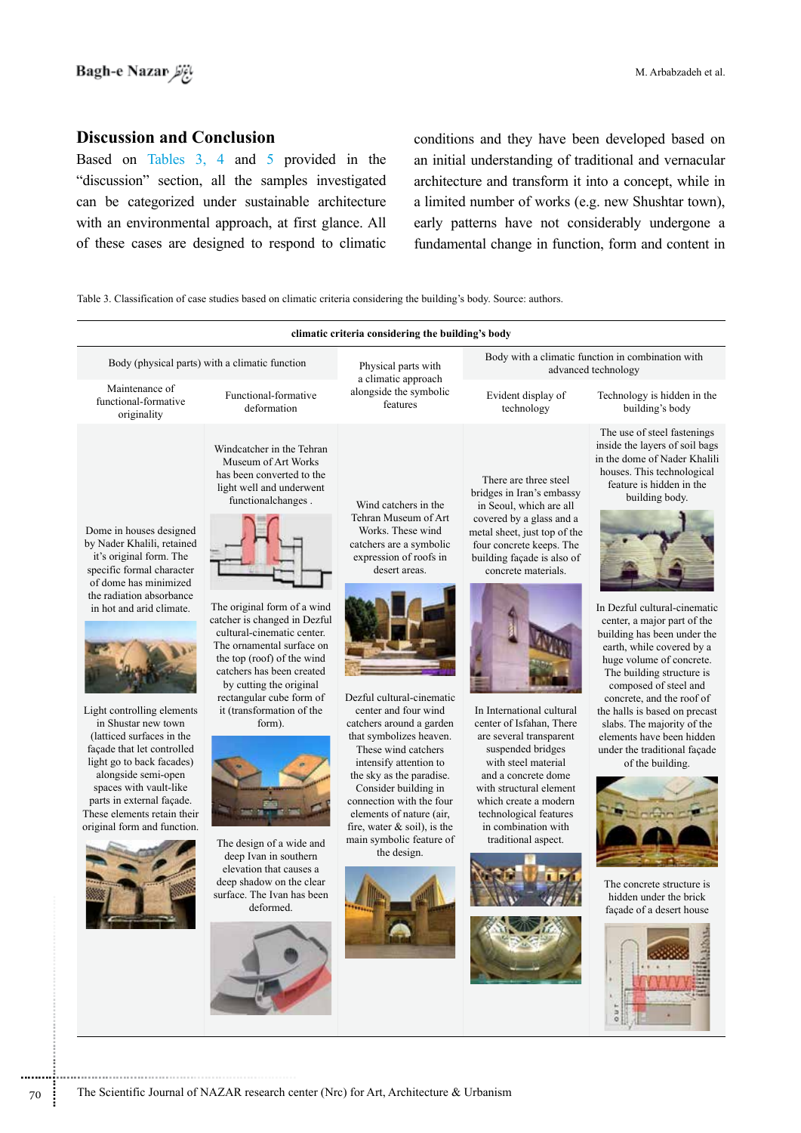# **Discussion and Conclusion**

Based on Tables 3, 4 and 5 provided in the "discussion" section, all the samples investigated can be categorized under sustainable architecture with an environmental approach, at first glance. All of these cases are designed to respond to climatic conditions and they have been developed based on an initial understanding of traditional and vernacular architecture and transform it into a concept, while in a limited number of works (e.g. new Shushtar town), early patterns have not considerably undergone a fundamental change in function, form and content in

Table 3. Classification of case studies based on climatic criteria considering the building's body. Source: authors.

| climatic criteria considering the building's body                                                                                                                                                                                                                                                                                                                                                                                                                                       |                                                                                                                                                                                                                                                                                                                                                                                                                                                                                                                                                                           |                                                                                                                                                                                                                                                                                                                                                                                                                                                                                               |                                                                                                                                                                                                                                                                                                                                                                                                                                                                                                               |                                                                                                                                                                                                                                                                                                                                                                                                                                                                                                                                                                                                                                                        |  |
|-----------------------------------------------------------------------------------------------------------------------------------------------------------------------------------------------------------------------------------------------------------------------------------------------------------------------------------------------------------------------------------------------------------------------------------------------------------------------------------------|---------------------------------------------------------------------------------------------------------------------------------------------------------------------------------------------------------------------------------------------------------------------------------------------------------------------------------------------------------------------------------------------------------------------------------------------------------------------------------------------------------------------------------------------------------------------------|-----------------------------------------------------------------------------------------------------------------------------------------------------------------------------------------------------------------------------------------------------------------------------------------------------------------------------------------------------------------------------------------------------------------------------------------------------------------------------------------------|---------------------------------------------------------------------------------------------------------------------------------------------------------------------------------------------------------------------------------------------------------------------------------------------------------------------------------------------------------------------------------------------------------------------------------------------------------------------------------------------------------------|--------------------------------------------------------------------------------------------------------------------------------------------------------------------------------------------------------------------------------------------------------------------------------------------------------------------------------------------------------------------------------------------------------------------------------------------------------------------------------------------------------------------------------------------------------------------------------------------------------------------------------------------------------|--|
| Body (physical parts) with a climatic function                                                                                                                                                                                                                                                                                                                                                                                                                                          |                                                                                                                                                                                                                                                                                                                                                                                                                                                                                                                                                                           | Physical parts with<br>a climatic approach                                                                                                                                                                                                                                                                                                                                                                                                                                                    | Body with a climatic function in combination with<br>advanced technology                                                                                                                                                                                                                                                                                                                                                                                                                                      |                                                                                                                                                                                                                                                                                                                                                                                                                                                                                                                                                                                                                                                        |  |
| Maintenance of<br>functional-formative<br>originality                                                                                                                                                                                                                                                                                                                                                                                                                                   | Functional-formative<br>deformation                                                                                                                                                                                                                                                                                                                                                                                                                                                                                                                                       | alongside the symbolic<br>features                                                                                                                                                                                                                                                                                                                                                                                                                                                            | Evident display of<br>technology                                                                                                                                                                                                                                                                                                                                                                                                                                                                              | Technology is hidden in the<br>building's body                                                                                                                                                                                                                                                                                                                                                                                                                                                                                                                                                                                                         |  |
| Dome in houses designed<br>by Nader Khalili, retained<br>it's original form. The<br>specific formal character<br>of dome has minimized<br>the radiation absorbance<br>in hot and arid climate.<br>Light controlling elements<br>in Shustar new town<br>(latticed surfaces in the<br>façade that let controlled<br>light go to back facades)<br>alongside semi-open<br>spaces with vault-like<br>parts in external façade.<br>These elements retain their<br>original form and function. | Windcatcher in the Tehran<br>Museum of Art Works<br>has been converted to the<br>light well and underwent<br>functionalchanges.<br>The original form of a wind<br>catcher is changed in Dezful<br>cultural-cinematic center.<br>The ornamental surface on<br>the top (roof) of the wind<br>catchers has been created<br>by cutting the original<br>rectangular cube form of<br>it (transformation of the<br>form).<br>The design of a wide and<br>deep Ivan in southern<br>elevation that causes a<br>deep shadow on the clear<br>surface. The Ivan has been<br>deformed. | Wind catchers in the<br>Tehran Museum of Art<br>Works. These wind<br>catchers are a symbolic<br>expression of roofs in<br>desert areas.<br>Dezful cultural-cinematic<br>center and four wind<br>catchers around a garden<br>that symbolizes heaven.<br>These wind catchers<br>intensify attention to<br>the sky as the paradise.<br>Consider building in<br>connection with the four<br>elements of nature (air,<br>fire, water $\&$ soil), is the<br>main symbolic feature of<br>the design. | There are three steel<br>bridges in Iran's embassy<br>in Seoul, which are all<br>covered by a glass and a<br>metal sheet, just top of the<br>four concrete keeps. The<br>building façade is also of<br>concrete materials.<br>In International cultural<br>center of Isfahan, There<br>are several transparent<br>suspended bridges<br>with steel material<br>and a concrete dome<br>with structural element<br>which create a modern<br>technological features<br>in combination with<br>traditional aspect. | The use of steel fastenings<br>inside the layers of soil bags<br>in the dome of Nader Khalili<br>houses. This technological<br>feature is hidden in the<br>building body.<br>In Dezful cultural-cinematic<br>center, a major part of the<br>building has been under the<br>earth, while covered by a<br>huge volume of concrete.<br>The building structure is<br>composed of steel and<br>concrete, and the roof of<br>the halls is based on precast<br>slabs. The majority of the<br>elements have been hidden<br>under the traditional façade<br>of the building.<br>The concrete structure is<br>hidden under the brick<br>façade of a desert house |  |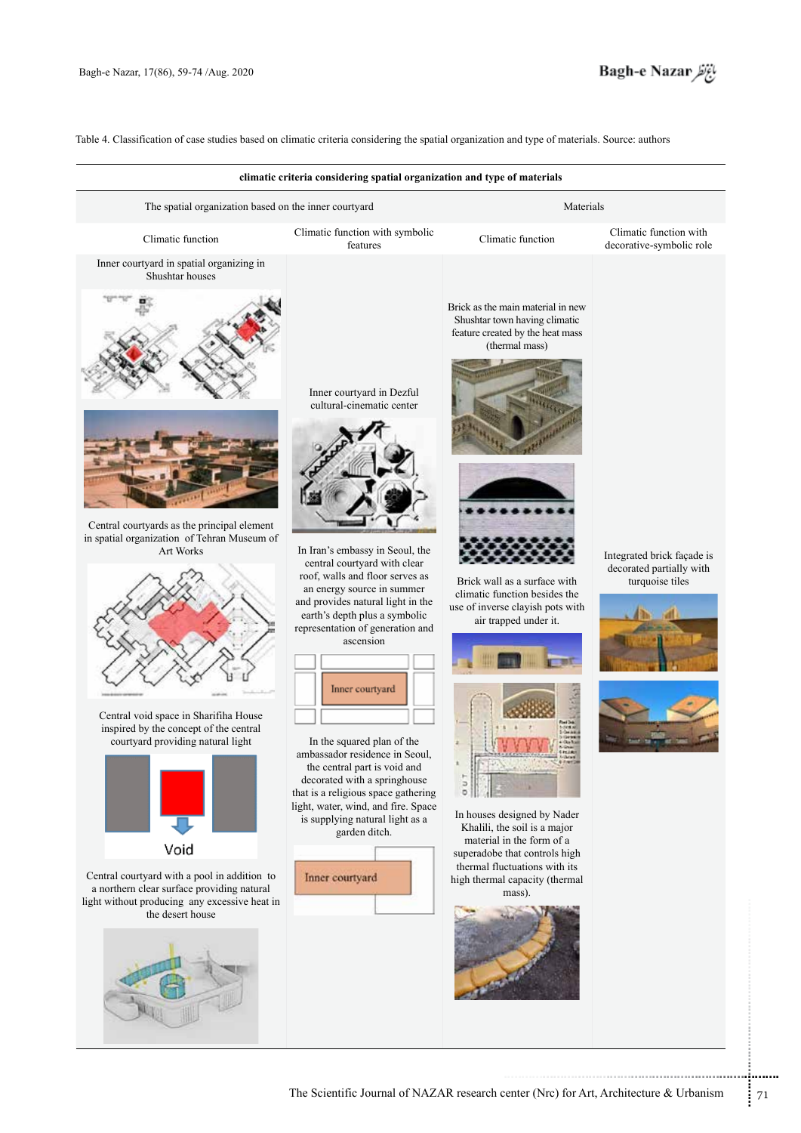

Table 4. Classification of case studies based on climatic criteria considering the spatial organization and type of materials. Source: authors

|                                                                                                                                                                                                                                                                                                                                                                                                                                                                                  | climatic criteria considering spatial organization and type of materials                                                                                                                                                                                                                                                                                                                                                                                                                                                                                                                                                  |                                                                                                                                                                                                                                                                                                                                                                                                                                                                       |                                                                           |
|----------------------------------------------------------------------------------------------------------------------------------------------------------------------------------------------------------------------------------------------------------------------------------------------------------------------------------------------------------------------------------------------------------------------------------------------------------------------------------|---------------------------------------------------------------------------------------------------------------------------------------------------------------------------------------------------------------------------------------------------------------------------------------------------------------------------------------------------------------------------------------------------------------------------------------------------------------------------------------------------------------------------------------------------------------------------------------------------------------------------|-----------------------------------------------------------------------------------------------------------------------------------------------------------------------------------------------------------------------------------------------------------------------------------------------------------------------------------------------------------------------------------------------------------------------------------------------------------------------|---------------------------------------------------------------------------|
| The spatial organization based on the inner courtyard                                                                                                                                                                                                                                                                                                                                                                                                                            |                                                                                                                                                                                                                                                                                                                                                                                                                                                                                                                                                                                                                           | Materials                                                                                                                                                                                                                                                                                                                                                                                                                                                             |                                                                           |
| Climatic function                                                                                                                                                                                                                                                                                                                                                                                                                                                                | Climatic function with symbolic<br>features                                                                                                                                                                                                                                                                                                                                                                                                                                                                                                                                                                               | Climatic function                                                                                                                                                                                                                                                                                                                                                                                                                                                     | Climatic function with<br>decorative-symbolic role                        |
| Inner courtyard in spatial organizing in<br>Shushtar houses<br>Central courtyards as the principal element<br>in spatial organization of Tehran Museum of<br><b>Art Works</b><br>Central void space in Sharifiha House<br>inspired by the concept of the central<br>courtyard providing natural light<br>Void<br>Central courtyard with a pool in addition to<br>a northern clear surface providing natural<br>light without producing any excessive heat in<br>the desert house | Inner courtyard in Dezful<br>cultural-cinematic center<br>In Iran's embassy in Seoul, the<br>central courtyard with clear<br>roof, walls and floor serves as<br>an energy source in summer<br>and provides natural light in the<br>earth's depth plus a symbolic<br>representation of generation and<br>ascension<br>Inner courtyard<br>In the squared plan of the<br>ambassador residence in Seoul,<br>the central part is void and<br>decorated with a springhouse<br>that is a religious space gathering<br>light, water, wind, and fire. Space<br>is supplying natural light as a<br>garden ditch.<br>Inner courtyard | Brick as the main material in new<br>Shushtar town having climatic<br>feature created by the heat mass<br>(thermal mass)<br>Brick wall as a surface with<br>climatic function besides the<br>use of inverse clayish pots with<br>air trapped under it.<br>э<br>In houses designed by Nader<br>Khalili, the soil is a major<br>material in the form of a<br>superadobe that controls high<br>thermal fluctuations with its<br>high thermal capacity (thermal<br>mass). | Integrated brick façade is<br>decorated partially with<br>turquoise tiles |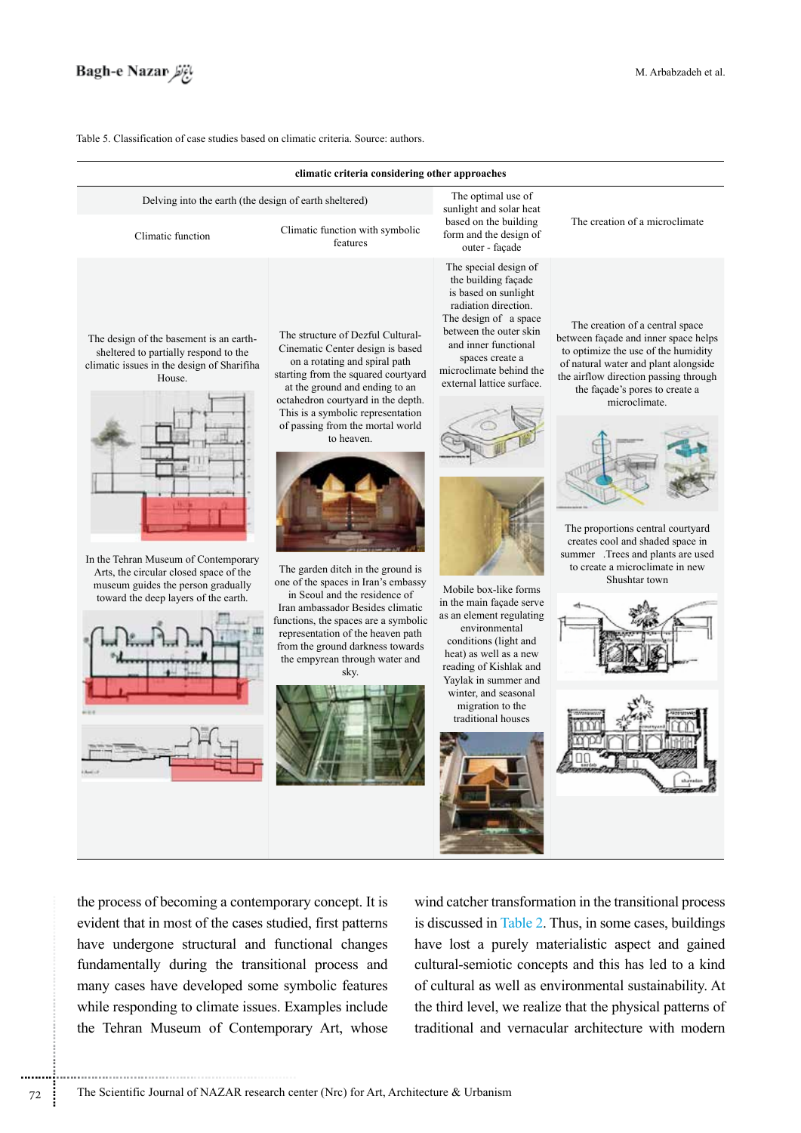

Table 5. Classification of case studies based on climatic criteria. Source: authors.

| climatic criteria considering other approaches                                                                                                                                                                                                                                                           |                                                                                                                                                                                                                                                                                                                                                                                                                                                                                                                                                                                                                          |                                                                                                                                                                                                                                                                                                                                                                                                                                                                                                                             |                                                                                                                                                                                                                                                                                                                                                                                                                      |  |
|----------------------------------------------------------------------------------------------------------------------------------------------------------------------------------------------------------------------------------------------------------------------------------------------------------|--------------------------------------------------------------------------------------------------------------------------------------------------------------------------------------------------------------------------------------------------------------------------------------------------------------------------------------------------------------------------------------------------------------------------------------------------------------------------------------------------------------------------------------------------------------------------------------------------------------------------|-----------------------------------------------------------------------------------------------------------------------------------------------------------------------------------------------------------------------------------------------------------------------------------------------------------------------------------------------------------------------------------------------------------------------------------------------------------------------------------------------------------------------------|----------------------------------------------------------------------------------------------------------------------------------------------------------------------------------------------------------------------------------------------------------------------------------------------------------------------------------------------------------------------------------------------------------------------|--|
| Delving into the earth (the design of earth sheltered)                                                                                                                                                                                                                                                   |                                                                                                                                                                                                                                                                                                                                                                                                                                                                                                                                                                                                                          | The optimal use of<br>sunlight and solar heat                                                                                                                                                                                                                                                                                                                                                                                                                                                                               |                                                                                                                                                                                                                                                                                                                                                                                                                      |  |
| Climatic function                                                                                                                                                                                                                                                                                        | Climatic function with symbolic<br>features                                                                                                                                                                                                                                                                                                                                                                                                                                                                                                                                                                              | based on the building<br>form and the design of<br>outer - façade                                                                                                                                                                                                                                                                                                                                                                                                                                                           | The creation of a microclimate                                                                                                                                                                                                                                                                                                                                                                                       |  |
| The design of the basement is an earth-<br>sheltered to partially respond to the<br>climatic issues in the design of Sharifiha<br>House.<br>In the Tehran Museum of Contemporary<br>Arts, the circular closed space of the<br>museum guides the person gradually<br>toward the deep layers of the earth. | The structure of Dezful Cultural-<br>Cinematic Center design is based<br>on a rotating and spiral path<br>starting from the squared courtyard<br>at the ground and ending to an<br>octahedron courtyard in the depth.<br>This is a symbolic representation<br>of passing from the mortal world<br>to heaven.<br>The garden ditch in the ground is<br>one of the spaces in Iran's embassy<br>in Seoul and the residence of<br>Iran ambassador Besides climatic<br>functions, the spaces are a symbolic<br>representation of the heaven path<br>from the ground darkness towards<br>the empyrean through water and<br>sky. | The special design of<br>the building façade<br>is based on sunlight<br>radiation direction.<br>The design of a space<br>between the outer skin<br>and inner functional<br>spaces create a<br>microclimate behind the<br>external lattice surface.<br>Mobile box-like forms<br>in the main façade serve<br>as an element regulating<br>environmental<br>conditions (light and<br>heat) as well as a new<br>reading of Kishlak and<br>Yaylak in summer and<br>winter, and seasonal<br>migration to the<br>traditional houses | The creation of a central space<br>between façade and inner space helps<br>to optimize the use of the humidity<br>of natural water and plant alongside<br>the airflow direction passing through<br>the façade's pores to create a<br>microclimate.<br>The proportions central courtyard<br>creates cool and shaded space in<br>summer .Trees and plants are used<br>to create a microclimate in new<br>Shushtar town |  |

the process of becoming a contemporary concept. It is evident that in most of the cases studied, first patterns have undergone structural and functional changes fundamentally during the transitional process and many cases have developed some symbolic features while responding to climate issues. Examples include the Tehran Museum of Contemporary Art, whose wind catcher transformation in the transitional process is discussed in Table 2. Thus, in some cases, buildings have lost a purely materialistic aspect and gained cultural-semiotic concepts and this has led to a kind of cultural as well as environmental sustainability. At the third level, we realize that the physical patterns of traditional and vernacular architecture with modern

.............................................................................. 72 The Scientific Journal of NAZAR research center (Nrc) for Art, Architecture & Urbanism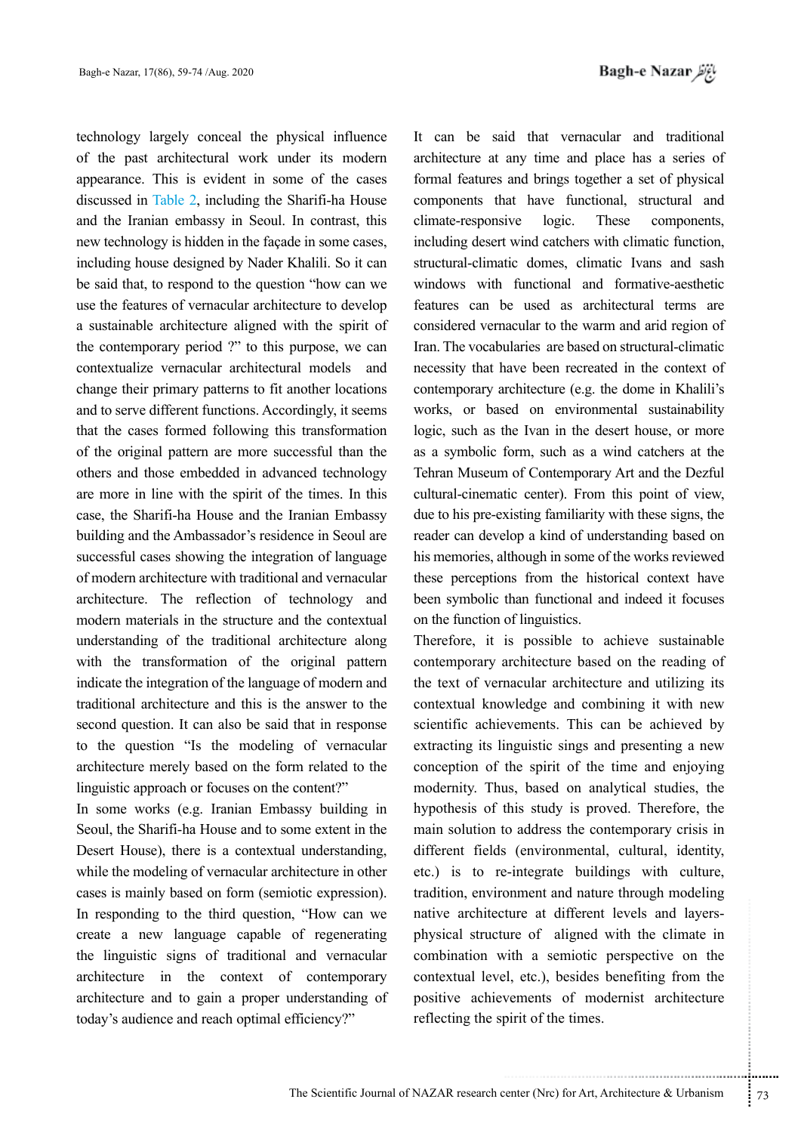technology largely conceal the physical influence of the past architectural work under its modern appearance. This is evident in some of the cases discussed in Table 2, including the Sharifi-ha House and the Iranian embassy in Seoul. In contrast, this new technology is hidden in the façade in some cases, including house designed by Nader Khalili. So it can be said that, to respond to the question "how can we use the features of vernacular architecture to develop a sustainable architecture aligned with the spirit of the contemporary period ?" to this purpose, we can contextualize vernacular architectural models and change their primary patterns to fit another locations and to serve different functions. Accordingly, it seems that the cases formed following this transformation of the original pattern are more successful than the others and those embedded in advanced technology are more in line with the spirit of the times. In this case, the Sharifi-ha House and the Iranian Embassy building and the Ambassador's residence in Seoul are successful cases showing the integration of language of modern architecture with traditional and vernacular architecture. The reflection of technology and modern materials in the structure and the contextual understanding of the traditional architecture along with the transformation of the original pattern indicate the integration of the language of modern and traditional architecture and this is the answer to the second question. It can also be said that in response to the question "Is the modeling of vernacular architecture merely based on the form related to the linguistic approach or focuses on the content?"

In some works (e.g. Iranian Embassy building in Seoul, the Sharifi-ha House and to some extent in the Desert House), there is a contextual understanding, while the modeling of vernacular architecture in other cases is mainly based on form (semiotic expression). In responding to the third question, "How can we create a new language capable of regenerating the linguistic signs of traditional and vernacular architecture in the context of contemporary architecture and to gain a proper understanding of today's audience and reach optimal efficiency?"

It can be said that vernacular and traditional architecture at any time and place has a series of formal features and brings together a set of physical components that have functional, structural and climate-responsive logic. These components, including desert wind catchers with climatic function, structural-climatic domes, climatic Ivans and sash windows with functional and formative-aesthetic features can be used as architectural terms are considered vernacular to the warm and arid region of Iran. The vocabularies are based on structural-climatic necessity that have been recreated in the context of contemporary architecture (e.g. the dome in Khalili's works, or based on environmental sustainability logic, such as the Ivan in the desert house, or more as a symbolic form, such as a wind catchers at the Tehran Museum of Contemporary Art and the Dezful cultural-cinematic center). From this point of view, due to his pre-existing familiarity with these signs, the reader can develop a kind of understanding based on his memories, although in some of the works reviewed these perceptions from the historical context have been symbolic than functional and indeed it focuses on the function of linguistics.

ture at different levels and layers-<br>ure of aligned with the climate in<br>vith a semiotic perspective on the<br>el, etc.), besides benefiting from the<br>vements of modernist architecture<br>pirit of the times.<br>were the times.<br>enter Therefore, it is possible to achieve sustainable contemporary architecture based on the reading of the text of vernacular architecture and utilizing its contextual knowledge and combining it with new scientific achievements. This can be achieved by extracting its linguistic sings and presenting a new conception of the spirit of the time and enjoying modernity. Thus, based on analytical studies, the hypothesis of this study is proved. Therefore, the main solution to address the contemporary crisis in different fields (environmental, cultural, identity, etc.) is to re-integrate buildings with culture, tradition, environment and nature through modeling native architecture at different levels and layersphysical structure of aligned with the climate in combination with a semiotic perspective on the contextual level, etc.), besides benefiting from the positive achievements of modernist architecture reflecting the spirit of the times.